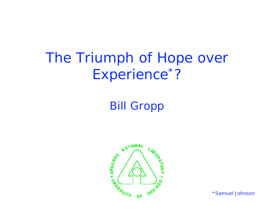#### The Triumph of Hope over Experience<sup>\*</sup> ?

#### Bill Gropp



\*Samuel Johnson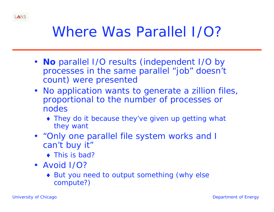

## Where Was Parallel I/O?

- *No* parallel I/O results (independent I/O by processes in the same parallel "job" doesn't count) were presented
- No application wants to generate a zillion files, proportional to the number of processes or nodes
	- They do it because they've given up getting what they want
- "Only one parallel file system works and I can't buy it"
	- This is bad?
- Avoid I/O?
	- ◆ But you need to output something (why else compute?)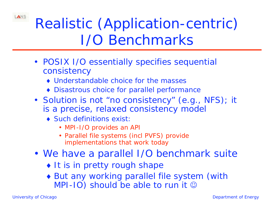Realistic (Application-centric) I/O Benchmarks

- POSIX I/O essentially specifies sequential consistency
	- Understandable choice for the masses
	- Disastrous choice for parallel performance
- Solution is not "no consistency" (e.g., NFS); it is a precise, relaxed consistency model
	- ◆ Such definitions exist:
		- MPI-I/O provides an API
		- Parallel file systems (incl PVFS) provide implementations that work today
- We have a parallel I/O benchmark suite
	- It is in pretty rough shape
	- But any working parallel file system (with MPI-IO) should be able to run it  $\odot$

LANS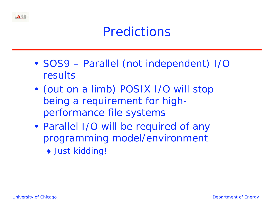

### **Predictions**

- • SOS9 – *Parallel* (not independent) I/O results
- • (out on a limb) POSIX I/O will stop being a requirement for highperformance file systems
- Parallel I/O will be required of any programming model/environment
	- ◆ Just kidding!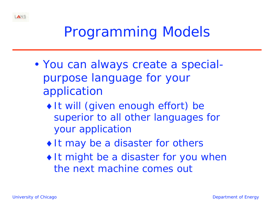

# Programming Models

- • You can always create a specialpurpose language for your application
	- $\bullet$  It will (given enough effort) be superior to all other languages for your application
	- $\bullet$  It may be a *disaster* for others
	- $\bullet$  It might be a disaster for *you* when the next machine comes out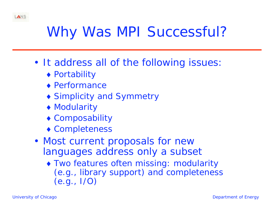

# Why Was MPI Successful?

- It address *all* of the following issues:
	- ◆ Portability
	- ◆ Performance
	- Simplicity and Symmetry
	- ◆ Modularity
	- Composability
	- Completeness
- Most current proposals for new languages address only a subset
	- Two features often missing: modularity (e.g., library support) and completeness (e.g., I/O)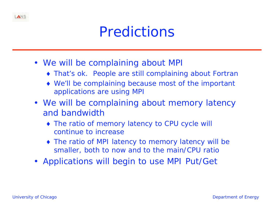

- We will be complaining about MPI
	- That's ok. People are still complaining about Fortran
	- We'll be complaining because most of the important applications are using MPI
- We will be complaining about memory latency and bandwidth
	- The ratio of memory latency to CPU cycle will continue to increase
	- The ratio of MPI latency to memory latency will be smaller, both to now and to the main/CPU ratio
- Applications will begin to use MPI Put/Get

LANS